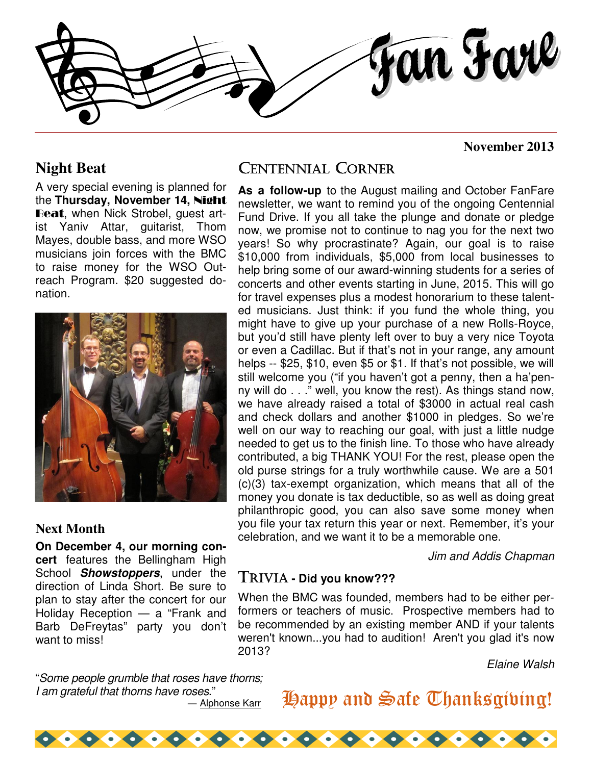

#### **Night Beat**

A very special evening is planned for the **Thursday, November 14,** Night Beat, when Nick Strobel, guest artist Yaniv Attar, guitarist, Thom Mayes, double bass, and more WSO musicians join forces with the BMC to raise money for the WSO Outreach Program. \$20 suggested donation.



#### **Next Month**

**On December 4, our morning concert** features the Bellingham High School **Showstoppers**, under the direction of Linda Short. Be sure to plan to stay after the concert for our Holiday Reception — a "Frank and Barb DeFreytas" party you don't want to miss!

"Some people grumble that roses have thorns; I am grateful that thorns have roses."

― Alphonse Karr

### CENTENNIAL CORNER

**As a follow-up** to the August mailing and October FanFare newsletter, we want to remind you of the ongoing Centennial Fund Drive. If you all take the plunge and donate or pledge now, we promise not to continue to nag you for the next two years! So why procrastinate? Again, our goal is to raise \$10,000 from individuals, \$5,000 from local businesses to help bring some of our award-winning students for a series of concerts and other events starting in June, 2015. This will go for travel expenses plus a modest honorarium to these talented musicians. Just think: if you fund the whole thing, you might have to give up your purchase of a new Rolls-Royce, but you'd still have plenty left over to buy a very nice Toyota or even a Cadillac. But if that's not in your range, any amount helps -- \$25, \$10, even \$5 or \$1. If that's not possible, we will still welcome you ("if you haven't got a penny, then a ha'penny will do . . ." well, you know the rest). As things stand now, we have already raised a total of \$3000 in actual real cash and check dollars and another \$1000 in pledges. So we're well on our way to reaching our goal, with just a little nudge needed to get us to the finish line. To those who have already contributed, a big THANK YOU! For the rest, please open the old purse strings for a truly worthwhile cause. We are a 501 (c)(3) tax-exempt organization, which means that all of the money you donate is tax deductible, so as well as doing great philanthropic good, you can also save some money when you file your tax return this year or next. Remember, it's your celebration, and we want it to be a memorable one.

Jim and Addis Chapman

**November 2013** 

#### TRIVIA **- Did you know???**

When the BMC was founded, members had to be either performers or teachers of music. Prospective members had to be recommended by an existing member AND if your talents weren't known...you had to audition! Aren't you glad it's now 2013?

Elaine Walsh

## Happy and Safe Thanksgiving!

 $\bullet \bullet \bullet \bullet \bullet \bullet \bullet \bullet \bullet$  $\bullet$   $\bullet$   $\bullet$   $\bullet$   $\bullet$   $\bullet$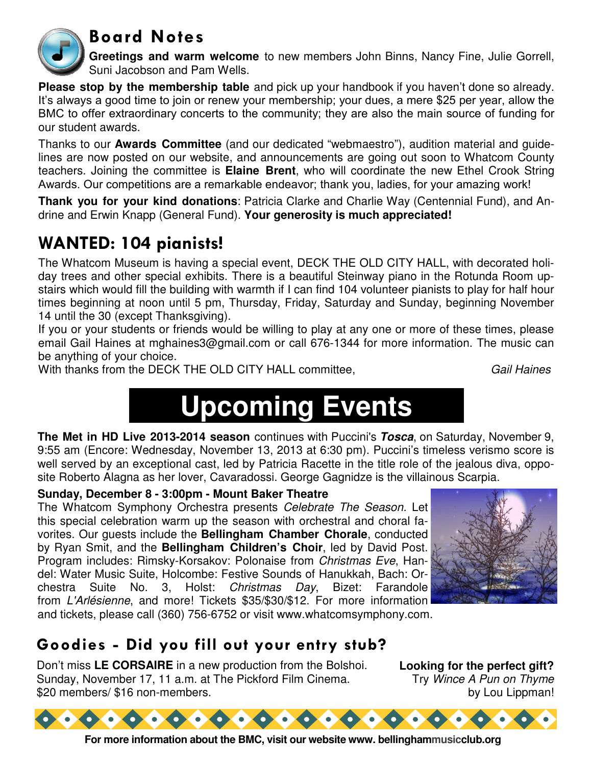

## Board Notes

**Greetings and warm welcome** to new members John Binns, Nancy Fine, Julie Gorrell, Suni Jacobson and Pam Wells.

**Please stop by the membership table** and pick up your handbook if you haven't done so already. It's always a good time to join or renew your membership; your dues, a mere \$25 per year, allow the BMC to offer extraordinary concerts to the community; they are also the main source of funding for our student awards.

Thanks to our **Awards Committee** (and our dedicated "webmaestro"), audition material and guidelines are now posted on our website, and announcements are going out soon to Whatcom County teachers. Joining the committee is **Elaine Brent**, who will coordinate the new Ethel Crook String Awards. Our competitions are a remarkable endeavor; thank you, ladies, for your amazing work!

**Thank you for your kind donations**: Patricia Clarke and Charlie Way (Centennial Fund), and Andrine and Erwin Knapp (General Fund). **Your generosity is much appreciated!**

## WANTED: 104 pianists!

The Whatcom Museum is having a special event, DECK THE OLD CITY HALL, with decorated holiday trees and other special exhibits. There is a beautiful Steinway piano in the Rotunda Room upstairs which would fill the building with warmth if I can find 104 volunteer pianists to play for half hour times beginning at noon until 5 pm, Thursday, Friday, Saturday and Sunday, beginning November 14 until the 30 (except Thanksgiving).

If you or your students or friends would be willing to play at any one or more of these times, please email Gail Haines at mghaines3@gmail.com or call 676-1344 for more information. The music can be anything of your choice.

With thanks from the DECK THE OLD CITY HALL committee, Gail Haines

# **Upcoming Events**

**The Met in HD Live 2013-2014 season** continues with Puccini's **Tosca**, on Saturday, November 9, 9:55 am (Encore: Wednesday, November 13, 2013 at 6:30 pm). Puccini's timeless verismo score is well served by an exceptional cast, led by Patricia Racette in the title role of the jealous diva, opposite Roberto Alagna as her lover, Cavaradossi. George Gagnidze is the villainous Scarpia.

#### **Sunday, December 8 - 3:00pm - Mount Baker Theatre**

The Whatcom Symphony Orchestra presents Celebrate The Season. Let this special celebration warm up the season with orchestral and choral favorites. Our guests include the **Bellingham Chamber Chorale**, conducted by Ryan Smit, and the **Bellingham Children's Choir**, led by David Post. Program includes: Rimsky-Korsakov: Polonaise from Christmas Eve, Handel: Water Music Suite, Holcombe: Festive Sounds of Hanukkah, Bach: Orchestra Suite No. 3, Holst: Christmas Day, Bizet: Farandole from L'Arlésienne, and more! Tickets \$35/\$30/\$12. For more information and tickets, please call (360) 756-6752 or visit www.whatcomsymphony.com.



## Goodies - Did you fill out your entry stub?

Don't miss **LE CORSAIRE** in a new production from the Bolshoi. Sunday, November 17, 11 a.m. at The Pickford Film Cinema. \$20 members/ \$16 non-members.

**Looking for the perfect gift?**  Try Wince A Pun on Thyme by Lou Lippman!



**For more information about the BMC, visit our website www. bellinghammusicclub.org**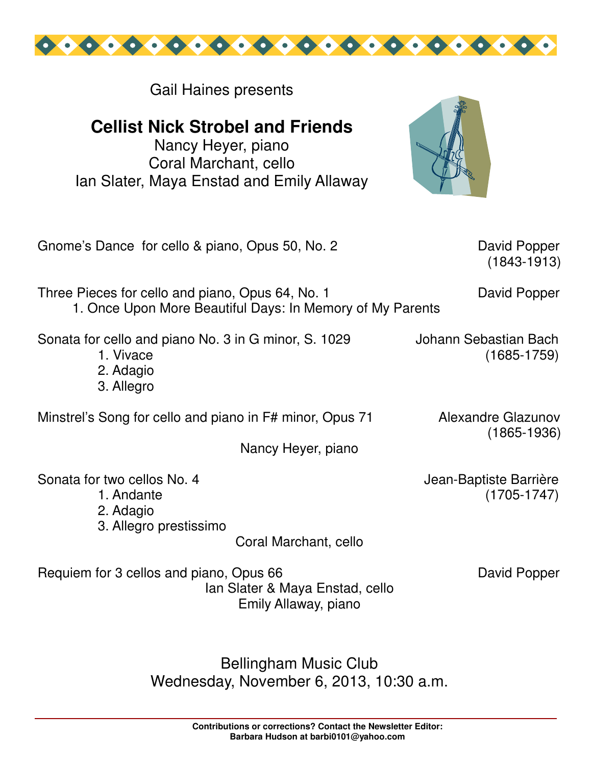

Gail Haines presents

**Cellist Nick Strobel and Friends** 

Nancy Heyer, piano Coral Marchant, cello Ian Slater, Maya Enstad and Emily Allaway



Gnome's Dance for cello & piano, Opus 50, No. 2 David Popper

(1843-1913)

Three Pieces for cello and piano, Opus 64, No. 1 David Popper 1. Once Upon More Beautiful Days: In Memory of My Parents

Sonata for cello and piano No. 3 in G minor, S. 1029 Johann Sebastian Bach

- 1. Vivace (1685-1759)
- 2. Adagio
- 3. Allegro

Minstrel's Song for cello and piano in F# minor, Opus 71 Alexandre Glazunov

Nancy Heyer, piano

Sonata for two cellos No. 4 Jean-Baptiste Barrière

- 
- 2. Adagio
- 3. Allegro prestissimo

Coral Marchant, cello

Requiem for 3 cellos and piano, Opus 66 David Popper

Ian Slater & Maya Enstad, cello Emily Allaway, piano

(1865-1936)

1. Andante (1705-1747)

Bellingham Music Club Wednesday, November 6, 2013, 10:30 a.m.